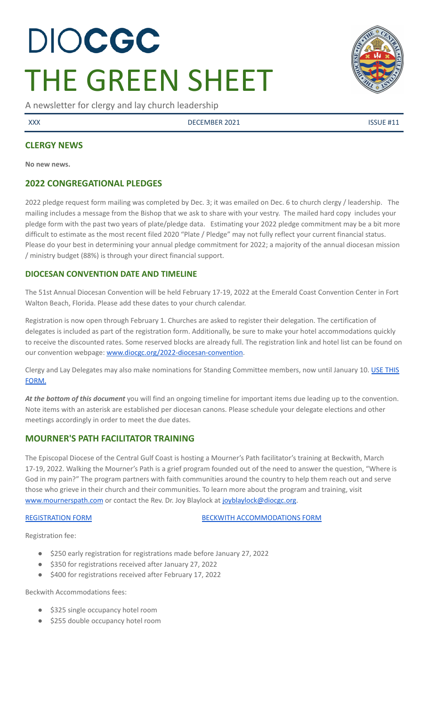# DIOCGC THE GREEN SHEET

A newsletter for clergy and lay church leadership

XXX DECEMBER 2021 ISSUE #11

#### **CLERGY NEWS**

**No new news.**

#### **2022 CONGREGATIONAL PLEDGES**

2022 pledge request form mailing was completed by Dec. 3; it was emailed on Dec. 6 to church clergy / leadership. The mailing includes a message from the Bishop that we ask to share with your vestry. The mailed hard copy includes your pledge form with the past two years of plate/pledge data. Estimating your 2022 pledge commitment may be a bit more difficult to estimate as the most recent filed 2020 "Plate / Pledge" may not fully reflect your current financial status. Please do your best in determining your annual pledge commitment for 2022; a majority of the annual diocesan mission / ministry budget (88%) is through your direct financial support.

#### **DIOCESAN CONVENTION DATE AND TIMELINE**

The 51st Annual Diocesan Convention will be held February 17-19, 2022 at the Emerald Coast Convention Center in Fort Walton Beach, Florida. Please add these dates to your church calendar.

Registration is now open through February 1. Churches are asked to register their delegation. The certification of delegates is included as part of the registration form. Additionally, be sure to make your hotel accommodations quickly to receive the discounted rates. Some reserved blocks are already full. The registration link and hotel list can be found on our convention webpage: [www.diocgc.org/2022-diocesan-convention.](http://www.diocgc.org/2022-diocesan-convention)

Clergy and Lay Delegates may also make nominations for Standing Committee members, now until January 10. USE [THIS](https://www.emailmeform.com/builder/form/xe8rdS2ZvmTA3iH05Vb) [FORM.](https://www.emailmeform.com/builder/form/xe8rdS2ZvmTA3iH05Vb)

*At the bottom of this document* you will find an ongoing timeline for important items due leading up to the convention. Note items with an asterisk are established per diocesan canons. Please schedule your delegate elections and other meetings accordingly in order to meet the due dates.

#### **MOURNER'S PATH FACILITATOR TRAINING**

The Episcopal Diocese of the Central Gulf Coast is hosting a Mourner's Path facilitator's training at Beckwith, March 17-19, 2022. Walking the Mourner's Path is a grief program founded out of the need to answer the question, "Where is God in my pain?" The program partners with faith communities around the country to help them reach out and serve those who grieve in their church and their communities. To learn more about the program and training, visit [www.mournerspath.com](http://www.mournerspath.com) or contact the Rev. Dr. Joy Blaylock at [joyblaylock@diocgc.org.](mailto:joyblaylock@diocgc.org)

[REGISTRATION](https://drive.google.com/file/d/1Dt48JlePEscAYYoSU4L_Ks6QRdMZcK_M/view?usp=sharing) FORM BECKWITH [ACCOMMODATIONS](https://events.r20.constantcontact.com/register/eventReg?oeidk=a07eiszh7o61fcdcbbc&oseq=&c=&ch=) FORM

Registration fee:

- \$250 early registration for registrations made before January 27, 2022
- \$350 for registrations received after January 27, 2022
- \$400 for registrations received after February 17, 2022

Beckwith Accommodations fees:

- \$325 single occupancy hotel room
- \$255 double occupancy hotel room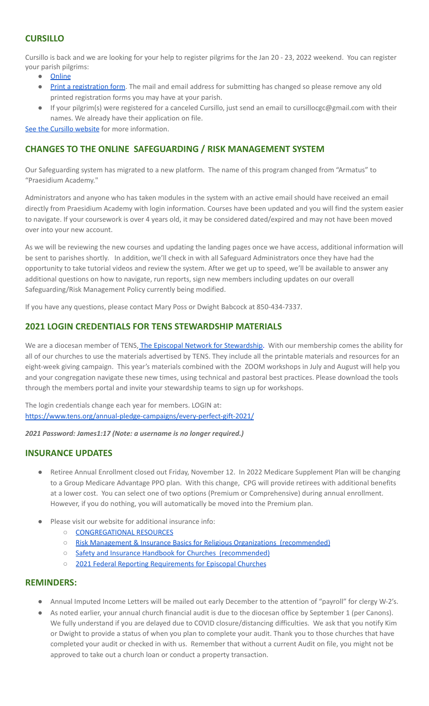# **CURSILLO**

Cursillo is back and we are looking for your help to register pilgrims for the Jan 20 - 23, 2022 weekend. You can register your parish pilgrims:

- [Online](https://docs.google.com/forms/d/e/1FAIpQLScpSHTPvKUxhVdUKIjzqbMgf_QeG6WgOD3SFtJzcD57t42tkg/viewform)
- Print a [registration](https://www.coastalpilgrims.com/uploads/5/9/0/4/5904702/pilgrim_application-10-15-2021__1_.pdf) form. The mail and email address for submitting has changed so please remove any old printed registration forms you may have at your parish.
- If your pilgrim(s) were registered for a canceled Cursillo, just send an email to cursillocgc@gmail.com with their names. We already have their application on file.

See the Cursillo [website](https://www.coastalpilgrims.com/) for more information.

# **CHANGES TO THE ONLINE SAFEGUARDING / RISK MANAGEMENT SYSTEM**

Our Safeguarding system has migrated to a new platform. The name of this program changed from "Armatus" to "Praesidium Academy."

Administrators and anyone who has taken modules in the system with an active email should have received an email directly from Praesidium Academy with login information. Courses have been updated and you will find the system easier to navigate. If your coursework is over 4 years old, it may be considered dated/expired and may not have been moved over into your new account.

As we will be reviewing the new courses and updating the landing pages once we have access, additional information will be sent to parishes shortly. In addition, we'll check in with all Safeguard Administrators once they have had the opportunity to take tutorial videos and review the system. After we get up to speed, we'll be available to answer any additional questions on how to navigate, run reports, sign new members including updates on our overall Safeguarding/Risk Management Policy currently being modified.

If you have any questions, please contact Mary Poss or Dwight Babcock at 850-434-7337.

# **2021 LOGIN CREDENTIALS FOR TENS STEWARDSHIP MATERIALS**

We are a diocesan member of TENS, The Episcopal Network for [Stewardship.](https://www.tens.org/) With our membership comes the ability for all of our churches to use the materials advertised by TENS. They include all the printable materials and resources for an eight-week giving campaign. This year's materials combined with the ZOOM workshops in July and August will help you and your congregation navigate these new times, using technical and pastoral best practices. Please download the tools through the members portal and invite your stewardship teams to sign up for workshops.

The login credentials change each year for members. LOGIN at: <https://www.tens.org/annual-pledge-campaigns/every-perfect-gift-2021/>

*2021 Password: James1:17 (Note: a username is no longer required.)*

#### **INSURANCE UPDATES**

- Retiree Annual Enrollment closed out Friday, November 12. In 2022 Medicare Supplement Plan will be changing to a Group Medicare Advantage PPO plan. With this change, CPG will provide retirees with additional benefits at a lower cost. You can select one of two options (Premium or Comprehensive) during annual enrollment. However, if you do nothing, you will automatically be moved into the Premium plan.
- Please visit our website for additional insurance info:
	- [CONGREGATIONAL](https://www.diocgc.org/congregational-resources) RESOURCES
	- Risk Management & Insurance Basics for Religious Organizations [\(recommended\)](https://2f23db9c-81c0-437f-88c1-0d3b99fdb03d.filesusr.com/ugd/ca270f_0fc945a39bad470191c4075c97602c08.pdf)
	- Safety and Insurance Handbook for Churches [\(recommended\)](https://2f23db9c-81c0-437f-88c1-0d3b99fdb03d.filesusr.com/ugd/4525a9_6b89020a60b040f49e2f7feb44b56873.pdf)
	- 2021 Federal Reporting [Requirements](https://www.cpg.org/globalassets/documents/publications/tax-2021-federal-reporting-requirements-for-episcopal-churches.pdf) for Episcopal Churches

#### **REMINDERS:**

- Annual Imputed Income Letters will be mailed out early December to the attention of "payroll" for clergy W-2's.
- As noted earlier, your annual church financial audit is due to the diocesan office by September 1 (per Canons). We fully understand if you are delayed due to COVID closure/distancing difficulties. We ask that you notify Kim or Dwight to provide a status of when you plan to complete your audit. Thank you to those churches that have completed your audit or checked in with us. Remember that without a current Audit on file, you might not be approved to take out a church loan or conduct a property transaction.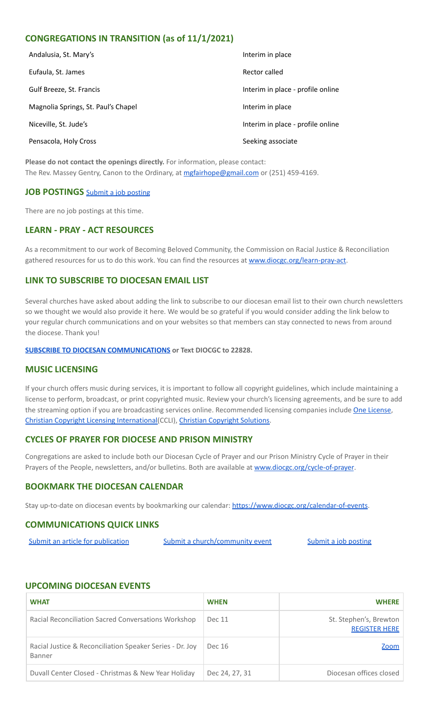# **CONGREGATIONS IN TRANSITION (as of 11/1/2021)**

| Andalusia, St. Mary's               | Interim in place                  |
|-------------------------------------|-----------------------------------|
| Eufaula, St. James                  | Rector called                     |
| Gulf Breeze, St. Francis            | Interim in place - profile online |
| Magnolia Springs, St. Paul's Chapel | Interim in place                  |
| Niceville, St. Jude's               | Interim in place - profile online |
| Pensacola, Holy Cross               | Seeking associate                 |

**Please do not contact the openings directly.** For information, please contact: The Rev. Massey Gentry, Canon to the Ordinary, at [mgfairhope@gmail.com](mailto:mgfairhope@gmail.com) or (251) 459-4169.

#### **JOB POSTINGS** Submit a job [posting](https://www.emailmeform.com/builder/form/0cZqC653GdH24p01aWQDfUh)

There are no job postings at this time.

# **LEARN - PRAY - ACT RESOURCES**

As a recommitment to our work of Becoming Beloved Community, the Commission on Racial Justice & Reconciliation gathered resources for us to do this work. You can find the resources at [www.diocgc.org/learn-pray-act.](http://www.diocgcorg/learn-pray-act)

#### **LINK TO SUBSCRIBE TO DIOCESAN EMAIL LIST**

Several churches have asked about adding the link to subscribe to our diocesan email list to their own church newsletters so we thought we would also provide it here. We would be so grateful if you would consider adding the link below to your regular church communications and on your websites so that members can stay connected to news from around the diocese. Thank you!

#### **SUBSCRIBE TO DIOCESAN [COMMUNICATIONS](https://visitor.r20.constantcontact.com/manage/optin?v=001ytzJgXCdPi7CMeRPYjkgWfph8ra8dQJmJ_jgoEJDuFPyjC3HarXiwlhH4JN80K9kNItCddcGgXt-VrglBC4Vvq3YhpG1ym5vnWRlozzk8WJwXJycFplGhx-zzZ96rxkiXY6YLv6vWkWPagBVarHUDKt3SmSUagqj) or Text DIOCGC to 22828.**

#### **MUSIC LICENSING**

If your church offers music during services, it is important to follow all copyright guidelines, which include maintaining a license to perform, broadcast, or print copyrighted music. Review your church's licensing agreements, and be sure to add the streaming option if you are broadcasting services online. Recommended licensing companies include One [License](https://onelicense.net/), Christian Copyright Licensing [International\(](https://us.ccli.com/)CCLI), Christian [Copyright](https://christiancopyrightsolutions.com/) Solutions.

#### **CYCLES OF PRAYER FOR DIOCESE AND PRISON MINISTRY**

Congregations are asked to include both our Diocesan Cycle of Prayer and our Prison Ministry Cycle of Prayer in their Prayers of the People, newsletters, and/or bulletins. Both are available at [www.diocgc.org/cycle-of-prayer](http://www.diocgc.org/cycle-of-prayer).

#### **BOOKMARK THE DIOCESAN CALENDAR**

Stay up-to-date on diocesan events by bookmarking our calendar: [https://www.diocgc.org/calendar-of-events.](https://www.diocgc.org/calendar-of-events)

#### **COMMUNICATIONS QUICK LINKS**

Submit an article for [publication](http://www.emailmeform.com/builder/form/XqOP984Ae60c8m6ynr) Submit a [church/community](http://www.emailmeform.com/builder/form/eOM4Bb6VTb78y20Wrapf8) event Submit a job [posting](https://www.emailmeform.com/builder/form/0cZqC653GdH24p01aWQDfUh)

#### **UPCOMING DIOCESAN EVENTS**

| <b>WHAT</b>                                                        | <b>WHEN</b>    | <b>WHERE</b>                                   |
|--------------------------------------------------------------------|----------------|------------------------------------------------|
| Racial Reconciliation Sacred Conversations Workshop                | Dec 11         | St. Stephen's, Brewton<br><b>REGISTER HERE</b> |
| Racial Justice & Reconciliation Speaker Series - Dr. Joy<br>Banner | Dec 16         | Zoom                                           |
| Duvall Center Closed - Christmas & New Year Holiday                | Dec 24, 27, 31 | Diocesan offices closed                        |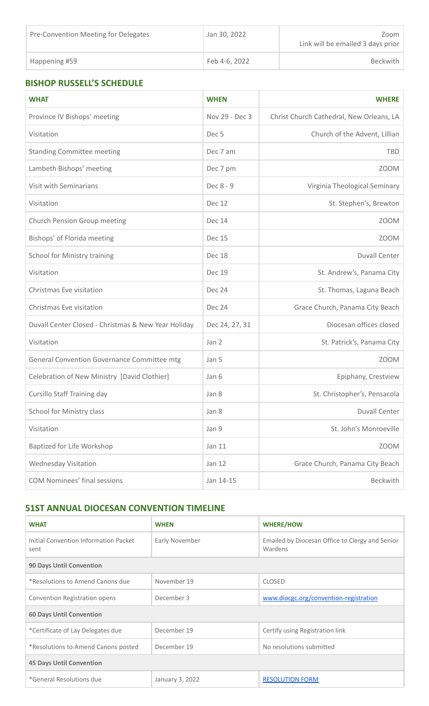| Pre-Convention Meeting for Delegates | Jan 30, 2022  | Zoom<br>Link will be emailed 3 days prior |
|--------------------------------------|---------------|-------------------------------------------|
| Happening #59                        | Feb 4-6, 2022 | <b>Beckwith</b>                           |

# **BISHOP RUSSELL'S SCHEDULE**

| <b>WHAT</b>                                         | <b>WHEN</b>      | <b>WHERE</b>                             |
|-----------------------------------------------------|------------------|------------------------------------------|
| Province IV Bishops' meeting                        | Nov 29 - Dec 3   | Christ Church Cathedral, New Orleans, LA |
| Visitation                                          | Dec <sub>5</sub> | Church of the Advent, Lillian            |
| <b>Standing Committee meeting</b>                   | Dec 7 am         | <b>TBD</b>                               |
| Lambeth Bishops' meeting                            | Dec 7 pm         | <b>ZOOM</b>                              |
| Visit with Seminarians                              | Dec 8 - 9        | Virginia Theological Seminary            |
| Visitation                                          | <b>Dec 12</b>    | St. Stephen's, Brewton                   |
| Church Pension Group meeting                        | <b>Dec 14</b>    | <b>ZOOM</b>                              |
| Bishops' of Florida meeting                         | <b>Dec 15</b>    | <b>ZOOM</b>                              |
| School for Ministry training                        | Dec 18           | <b>Duvall Center</b>                     |
| Visitation                                          | <b>Dec 19</b>    | St. Andrew's, Panama City                |
| Christmas Eve visitation                            | <b>Dec 24</b>    | St. Thomas, Laguna Beach                 |
| Christmas Eve visitation                            | Dec 24           | Grace Church, Panama City Beach          |
| Duvall Center Closed - Christmas & New Year Holiday | Dec 24, 27, 31   | Diocesan offices closed                  |
| Visitation                                          | Jan 2            | St. Patrick's, Panama City               |
| General Convention Governance Committee mtg         | Jan 5            | <b>ZOOM</b>                              |
| Celebration of New Ministry [David Clothier]        | Jan 6            | Epiphany, Crestview                      |
| <b>Cursillo Staff Training day</b>                  | Jan 8            | St. Christopher's, Pensacola             |
| <b>School for Ministry class</b>                    | Jan 8            | Duvall Center                            |
| Visitation                                          | Jan 9            | St. John's Monroeville                   |
| Baptized for Life Workshop                          | Jan 11           | <b>ZOOM</b>                              |
| <b>Wednesday Visitation</b>                         | Jan 12           | Grace Church, Panama City Beach          |
| <b>COM Nominees' final sessions</b>                 | Jan 14-15        | Beckwith                                 |

# **51ST ANNUAL DIOCESAN CONVENTION TIMELINE**

| <b>WHAT</b>                                   | <b>WHEN</b>     | <b>WHERE/HOW</b>                                           |  |
|-----------------------------------------------|-----------------|------------------------------------------------------------|--|
| Initial Convention Information Packet<br>sent | Early November  | Emailed by Diocesan Office to Clergy and Senior<br>Wardens |  |
| <b>90 Days Until Convention</b>               |                 |                                                            |  |
| *Resolutions to Amend Canons due              | November 19     | <b>CLOSED</b>                                              |  |
| Convention Registration opens                 | December 3      | www.diocgc.org/convention-registration                     |  |
| <b>60 Days Until Convention</b>               |                 |                                                            |  |
| *Certificate of Lay Delegates due             | December 19     | Certify using Registration link                            |  |
| *Resolutions to Amend Canons posted           | December 19     | No resolutions submitted                                   |  |
| <b>45 Days Until Convention</b>               |                 |                                                            |  |
| *General Resolutions due                      | January 3, 2022 | <b>RESOLUTION FORM</b>                                     |  |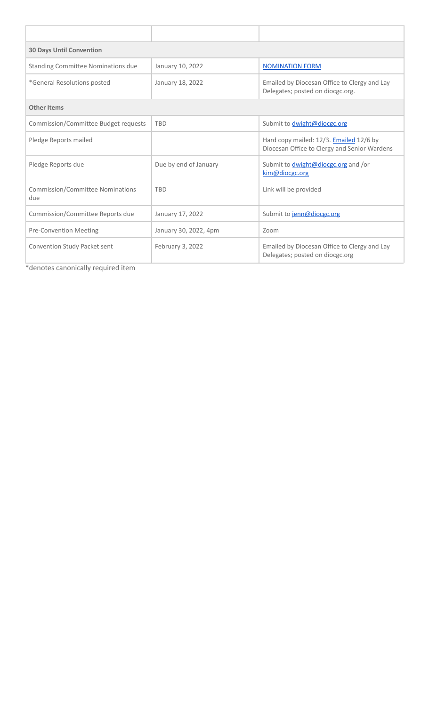| <b>30 Days Until Convention</b>           |                       |                                                                                                |  |
|-------------------------------------------|-----------------------|------------------------------------------------------------------------------------------------|--|
| <b>Standing Committee Nominations due</b> | January 10, 2022      | <b>NOMINATION FORM</b>                                                                         |  |
| *General Resolutions posted               | January 18, 2022      | Emailed by Diocesan Office to Clergy and Lay<br>Delegates; posted on diocgc.org.               |  |
| <b>Other Items</b>                        |                       |                                                                                                |  |
| Commission/Committee Budget requests      | <b>TBD</b>            | Submit to dwight@diocgc.org                                                                    |  |
| Pledge Reports mailed                     |                       | Hard copy mailed: 12/3. <b>Emailed</b> 12/6 by<br>Diocesan Office to Clergy and Senior Wardens |  |
| Pledge Reports due                        | Due by end of January | Submit to <i>dwight@diocgc.org</i> and /or<br>kim@diocgc.org                                   |  |
| Commission/Committee Nominations<br>due   | <b>TBD</b>            | Link will be provided                                                                          |  |
| Commission/Committee Reports due          | January 17, 2022      | Submit to jenn@diocgc.org                                                                      |  |
| <b>Pre-Convention Meeting</b>             | January 30, 2022, 4pm | Zoom                                                                                           |  |
| Convention Study Packet sent              | February 3, 2022      | Emailed by Diocesan Office to Clergy and Lay<br>Delegates; posted on diocgc.org                |  |

\*denotes canonically required item